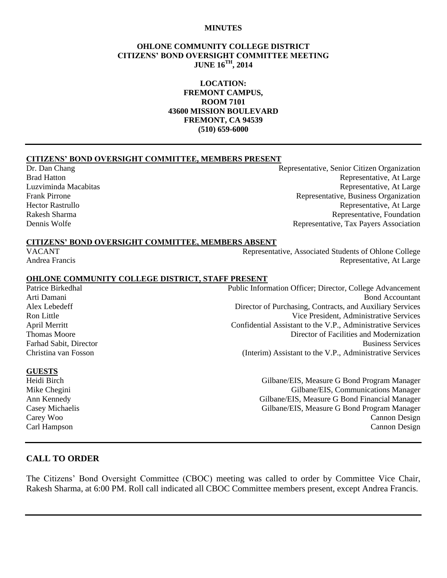#### **MINUTES**

#### **OHLONE COMMUNITY COLLEGE DISTRICT CITIZENS' BOND OVERSIGHT COMMITTEE MEETING JUNE 16TH, 2014**

#### **LOCATION: FREMONT CAMPUS, ROOM 7101 43600 MISSION BOULEVARD FREMONT, CA 94539 (510) 659-6000**

#### **CITIZENS' BOND OVERSIGHT COMMITTEE, MEMBERS PRESENT**

Dr. Dan Chang Representative, Senior Citizen Organization Brad Hatton **Representative, At Large** Luzviminda Macabitas Representative, At Large Frank Pirrone Representative, Business Organization Hector Rastrullo **Representative, At Large** Rakesh Sharma **Representative, Foundation** Representative, Foundation Dennis Wolfe Representative, Tax Payers Association

#### **CITIZENS' BOND OVERSIGHT COMMITTEE, MEMBERS ABSENT**

VACANT Representative, Associated Students of Ohlone College Andrea Francis Representative, At Large

#### **OHLONE COMMUNITY COLLEGE DISTRICT, STAFF PRESENT**

Patrice Birkedhal Public Information Officer; Director, College Advancement Arti Damani Bond Accountant Alex Lebedeff Director of Purchasing, Contracts, and Auxiliary Services Ron Little Vice President, Administrative Services April Merritt Confidential Assistant to the V.P., Administrative Services Thomas Moore **Director of Facilities and Modernization** Farhad Sabit, Director Business Services Christina van Fosson (Interim) Assistant to the V.P., Administrative Services

#### **GUESTS**

Heidi Birch Gilbane/EIS, Measure G Bond Program Manager Mike Chegini Gilbane/EIS, Communications Manager Ann Kennedy Gilbane/EIS, Measure G Bond Financial Manager Casey Michaelis Gilbane/EIS, Measure G Bond Program Manager Carey Woo Cannon Design Carl Hampson Cannon Design

### **CALL TO ORDER**

The Citizens' Bond Oversight Committee (CBOC) meeting was called to order by Committee Vice Chair, Rakesh Sharma, at 6:00 PM. Roll call indicated all CBOC Committee members present, except Andrea Francis.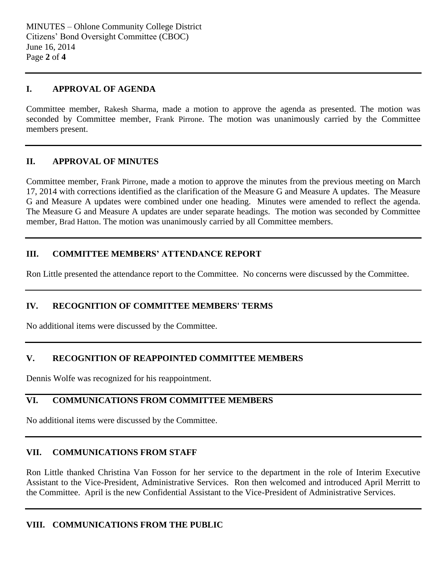## **I. APPROVAL OF AGENDA**

Committee member, Rakesh Sharma, made a motion to approve the agenda as presented. The motion was seconded by Committee member, Frank Pirrone. The motion was unanimously carried by the Committee members present.

## **II. APPROVAL OF MINUTES**

Committee member, Frank Pirrone, made a motion to approve the minutes from the previous meeting on March 17, 2014 with corrections identified as the clarification of the Measure G and Measure A updates. The Measure G and Measure A updates were combined under one heading. Minutes were amended to reflect the agenda. The Measure G and Measure A updates are under separate headings. The motion was seconded by Committee member, Brad Hatton. The motion was unanimously carried by all Committee members.

## **III. COMMITTEE MEMBERS' ATTENDANCE REPORT**

Ron Little presented the attendance report to the Committee. No concerns were discussed by the Committee.

# **IV. RECOGNITION OF COMMITTEE MEMBERS' TERMS**

No additional items were discussed by the Committee.

## **V. RECOGNITION OF REAPPOINTED COMMITTEE MEMBERS**

Dennis Wolfe was recognized for his reappointment.

# **VI. COMMUNICATIONS FROM COMMITTEE MEMBERS**

No additional items were discussed by the Committee.

## **VII. COMMUNICATIONS FROM STAFF**

Ron Little thanked Christina Van Fosson for her service to the department in the role of Interim Executive Assistant to the Vice-President, Administrative Services. Ron then welcomed and introduced April Merritt to the Committee. April is the new Confidential Assistant to the Vice-President of Administrative Services.

## **VIII. COMMUNICATIONS FROM THE PUBLIC**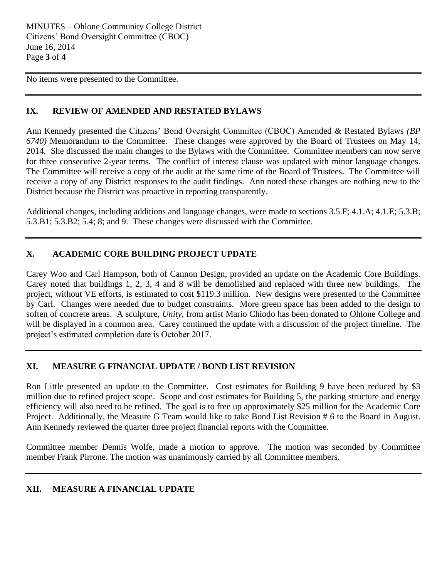No items were presented to the Committee.

## **IX. REVIEW OF AMENDED AND RESTATED BYLAWS**

Ann Kennedy presented the Citizens' Bond Oversight Committee (CBOC) Amended & Restated Bylaws *(BP 6740)* Memorandum to the Committee. These changes were approved by the Board of Trustees on May 14, 2014. She discussed the main changes to the Bylaws with the Committee. Committee members can now serve for three consecutive 2-year terms. The conflict of interest clause was updated with minor language changes. The Committee will receive a copy of the audit at the same time of the Board of Trustees. The Committee will receive a copy of any District responses to the audit findings. Ann noted these changes are nothing new to the District because the District was proactive in reporting transparently.

Additional changes, including additions and language changes, were made to sections 3.5.F; 4.1.A; 4.1.E; 5.3.B; 5.3.B1; 5.3.B2; 5.4; 8; and 9. These changes were discussed with the Committee.

## **X. ACADEMIC CORE BUILDING PROJECT UPDATE**

Carey Woo and Carl Hampson, both of Cannon Design, provided an update on the Academic Core Buildings. Carey noted that buildings 1, 2, 3, 4 and 8 will be demolished and replaced with three new buildings. The project, without VE efforts, is estimated to cost \$119.3 million. New designs were presented to the Committee by Carl. Changes were needed due to budget constraints. More green space has been added to the design to soften of concrete areas. A sculpture, *Unity,* from artist Mario Chiodo has been donated to Ohlone College and will be displayed in a common area. Carey continued the update with a discussion of the project timeline. The project's estimated completion date is October 2017.

# **XI. MEASURE G FINANCIAL UPDATE / BOND LIST REVISION**

Ron Little presented an update to the Committee. Cost estimates for Building 9 have been reduced by \$3 million due to refined project scope. Scope and cost estimates for Building 5, the parking structure and energy efficiency will also need to be refined. The goal is to free up approximately \$25 million for the Academic Core Project. Additionally, the Measure G Team would like to take Bond List Revision # 6 to the Board in August. Ann Kennedy reviewed the quarter three project financial reports with the Committee.

Committee member Dennis Wolfe, made a motion to approve. The motion was seconded by Committee member Frank Pirrone. The motion was unanimously carried by all Committee members.

## **XII. MEASURE A FINANCIAL UPDATE**